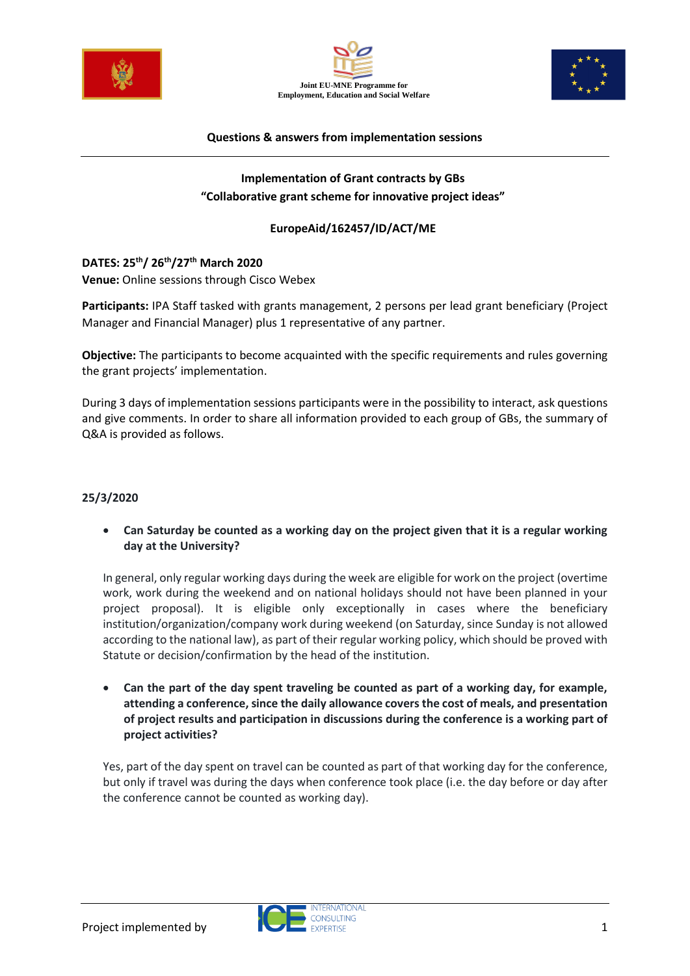





#### **Questions & answers from implementation sessions**

# **Implementation of Grant contracts by GBs "Collaborative grant scheme for innovative project ideas"**

#### **EuropeAid/162457/ID/ACT/ME**

# **DATES: 25 th/ 26th/27th March 2020**

**Venue:** Online sessions through Cisco Webex

**Participants:** IPA Staff tasked with grants management, 2 persons per lead grant beneficiary (Project Manager and Financial Manager) plus 1 representative of any partner.

**Objective:** The participants to become acquainted with the specific requirements and rules governing the grant projects' implementation.

During 3 days of implementation sessions participants were in the possibility to interact, ask questions and give comments. In order to share all information provided to each group of GBs, the summary of Q&A is provided as follows.

#### **25/3/2020**

• **Can Saturday be counted as a working day on the project given that it is a regular working day at the University?**

In general, only regular working days during the week are eligible for work on the project (overtime work, work during the weekend and on national holidays should not have been planned in your project proposal). It is eligible only exceptionally in cases where the beneficiary institution/organization/company work during weekend (on Saturday, since Sunday is not allowed according to the national law), as part of their regular working policy, which should be proved with Statute or decision/confirmation by the head of the institution.

• **Can the part of the day spent traveling be counted as part of a working day, for example, attending a conference, since the daily allowance covers the cost of meals, and presentation of project results and participation in discussions during the conference is a working part of project activities?**

Yes, part of the day spent on travel can be counted as part of that working day for the conference, but only if travel was during the days when conference took place (i.e. the day before or day after the conference cannot be counted as working day).

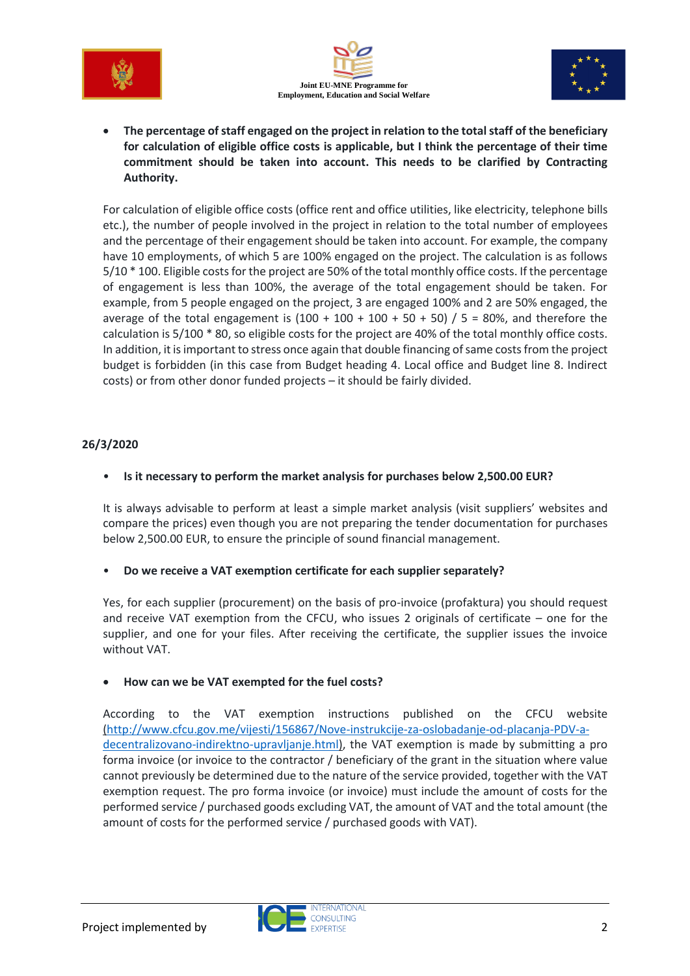





• **The percentage of staff engaged on the project in relation to the total staff of the beneficiary for calculation of eligible office costs is applicable, but I think the percentage of their time commitment should be taken into account. This needs to be clarified by Contracting Authority.**

For calculation of eligible office costs (office rent and office utilities, like electricity, telephone bills etc.), the number of people involved in the project in relation to the total number of employees and the percentage of their engagement should be taken into account. For example, the company have 10 employments, of which 5 are 100% engaged on the project. The calculation is as follows 5/10 \* 100. Eligible costs for the project are 50% of the total monthly office costs. If the percentage of engagement is less than 100%, the average of the total engagement should be taken. For example, from 5 people engaged on the project, 3 are engaged 100% and 2 are 50% engaged, the average of the total engagement is  $(100 + 100 + 100 + 50 + 50)$  / 5 = 80%, and therefore the calculation is 5/100 \* 80, so eligible costs for the project are 40% of the total monthly office costs. In addition, it is important to stress once again that double financing of same costs from the project budget is forbidden (in this case from Budget heading 4. Local office and Budget line 8. Indirect costs) or from other donor funded projects – it should be fairly divided.

### **26/3/2020**

### • **Is it necessary to perform the market analysis for purchases below 2,500.00 EUR?**

It is always advisable to perform at least a simple market analysis (visit suppliers' websites and compare the prices) even though you are not preparing the tender documentation for purchases below 2,500.00 EUR, to ensure the principle of sound financial management.

### • **Do we receive a VAT exemption certificate for each supplier separately?**

Yes, for each supplier (procurement) on the basis of pro-invoice (profaktura) you should request and receive VAT exemption from the CFCU, who issues 2 originals of certificate – one for the supplier, and one for your files. After receiving the certificate, the supplier issues the invoice without VAT.

### • **How can we be VAT exempted for the fuel costs?**

According to the VAT exemption instructions published on the CFCU website [\(http://www.cfcu.gov.me/vijesti/156867/Nove-instrukcije-za-oslobadanje-od-placanja-PDV-a](http://www.cfcu.gov.me/vijesti/156867/Nove-instrukcije-za-oslobadanje-od-placanja-PDV-a-decentralizovano-indirektno-upravljanje.html)[decentralizovano-indirektno-upravljanje.html\)](http://www.cfcu.gov.me/vijesti/156867/Nove-instrukcije-za-oslobadanje-od-placanja-PDV-a-decentralizovano-indirektno-upravljanje.html), the VAT exemption is made by submitting a pro forma invoice (or invoice to the contractor / beneficiary of the grant in the situation where value cannot previously be determined due to the nature of the service provided, together with the VAT exemption request. The pro forma invoice (or invoice) must include the amount of costs for the performed service / purchased goods excluding VAT, the amount of VAT and the total amount (the amount of costs for the performed service / purchased goods with VAT).

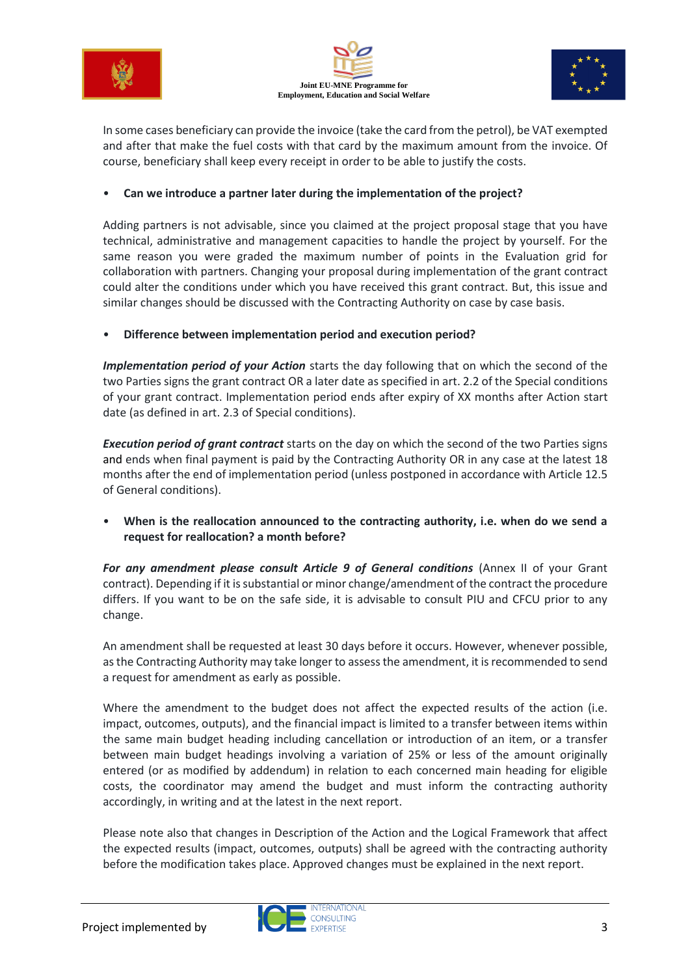



![](_page_2_Picture_2.jpeg)

In some cases beneficiary can provide the invoice (take the card from the petrol), be VAT exempted and after that make the fuel costs with that card by the maximum amount from the invoice. Of course, beneficiary shall keep every receipt in order to be able to justify the costs.

#### • **Can we introduce a partner later during the implementation of the project?**

Adding partners is not advisable, since you claimed at the project proposal stage that you have technical, administrative and management capacities to handle the project by yourself. For the same reason you were graded the maximum number of points in the Evaluation grid for collaboration with partners. Changing your proposal during implementation of the grant contract could alter the conditions under which you have received this grant contract. But, this issue and similar changes should be discussed with the Contracting Authority on case by case basis.

#### • **Difference between implementation period and execution period?**

*Implementation period of your Action* starts the day following that on which the second of the two Parties signs the grant contract OR a later date as specified in art. 2.2 of the Special conditions of your grant contract. Implementation period ends after expiry of XX months after Action start date (as defined in art. 2.3 of Special conditions).

*Execution period of grant contract* starts on the day on which the second of the two Parties signs and ends when final payment is paid by the Contracting Authority OR in any case at the latest 18 months after the end of implementation period (unless postponed in accordance with Article 12.5 of General conditions).

• **When is the reallocation announced to the contracting authority, i.e. when do we send a request for reallocation? a month before?**

*For any amendment please consult Article 9 of General conditions* (Annex II of your Grant contract). Depending if it is substantial or minor change/amendment of the contract the procedure differs. If you want to be on the safe side, it is advisable to consult PIU and CFCU prior to any change.

An amendment shall be requested at least 30 days before it occurs. However, whenever possible, as the Contracting Authority may take longer to assess the amendment, it is recommended to send a request for amendment as early as possible.

Where the amendment to the budget does not affect the expected results of the action (i.e. impact, outcomes, outputs), and the financial impact is limited to a transfer between items within the same main budget heading including cancellation or introduction of an item, or a transfer between main budget headings involving a variation of 25% or less of the amount originally entered (or as modified by addendum) in relation to each concerned main heading for eligible costs, the coordinator may amend the budget and must inform the contracting authority accordingly, in writing and at the latest in the next report.

Please note also that changes in Description of the Action and the Logical Framework that affect the expected results (impact, outcomes, outputs) shall be agreed with the contracting authority before the modification takes place. Approved changes must be explained in the next report.

![](_page_2_Picture_15.jpeg)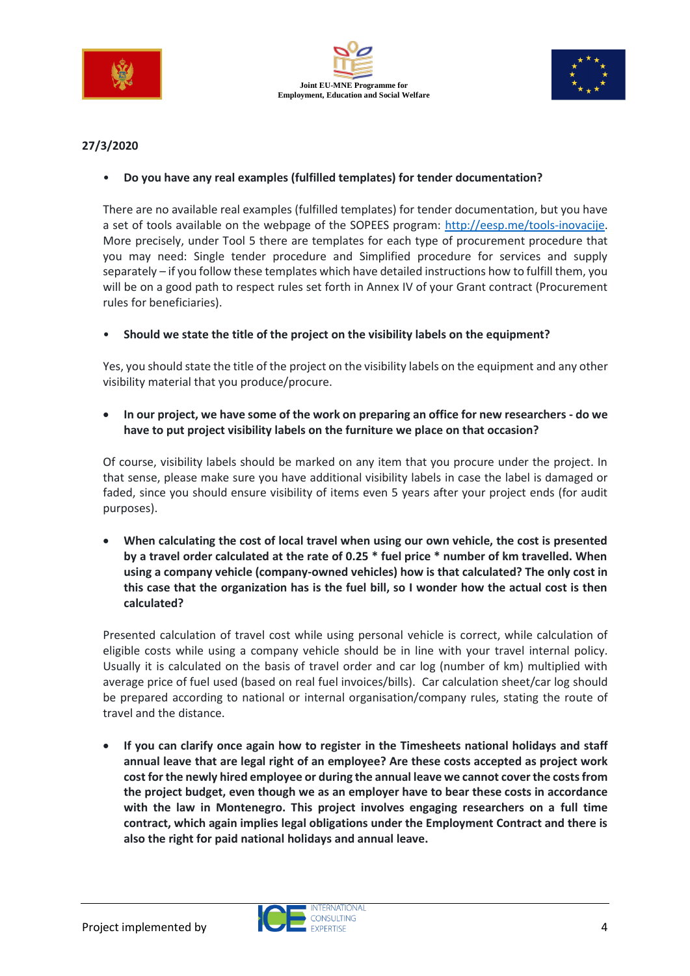![](_page_3_Picture_0.jpeg)

![](_page_3_Picture_1.jpeg)

![](_page_3_Picture_2.jpeg)

# **27/3/2020**

# • **Do you have any real examples (fulfilled templates) for tender documentation?**

There are no available real examples (fulfilled templates) for tender documentation, but you have a set of tools available on the webpage of the SOPEES program: [http://eesp.me/tools-inovacije.](http://eesp.me/tools-inovacije) More precisely, under Tool 5 there are templates for each type of procurement procedure that you may need: Single tender procedure and Simplified procedure for services and supply separately – if you follow these templates which have detailed instructions how to fulfill them, you will be on a good path to respect rules set forth in Annex IV of your Grant contract (Procurement rules for beneficiaries).

### • **Should we state the title of the project on the visibility labels on the equipment?**

Yes, you should state the title of the project on the visibility labels on the equipment and any other visibility material that you produce/procure.

# • **In our project, we have some of the work on preparing an office for new researchers - do we have to put project visibility labels on the furniture we place on that occasion?**

Of course, visibility labels should be marked on any item that you procure under the project. In that sense, please make sure you have additional visibility labels in case the label is damaged or faded, since you should ensure visibility of items even 5 years after your project ends (for audit purposes).

• **When calculating the cost of local travel when using our own vehicle, the cost is presented by a travel order calculated at the rate of 0.25 \* fuel price \* number of km travelled. When using a company vehicle (company-owned vehicles) how is that calculated? The only cost in this case that the organization has is the fuel bill, so I wonder how the actual cost is then calculated?**

Presented calculation of travel cost while using personal vehicle is correct, while calculation of eligible costs while using a company vehicle should be in line with your travel internal policy. Usually it is calculated on the basis of travel order and car log (number of km) multiplied with average price of fuel used (based on real fuel invoices/bills). Car calculation sheet/car log should be prepared according to national or internal organisation/company rules, stating the route of travel and the distance.

• **If you can clarify once again how to register in the Timesheets national holidays and staff annual leave that are legal right of an employee? Are these costs accepted as project work cost for the newly hired employee or during the annual leave we cannot cover the costsfrom the project budget, even though we as an employer have to bear these costs in accordance with the law in Montenegro. This project involves engaging researchers on a full time contract, which again implies legal obligations under the Employment Contract and there is also the right for paid national holidays and annual leave.**

![](_page_3_Picture_14.jpeg)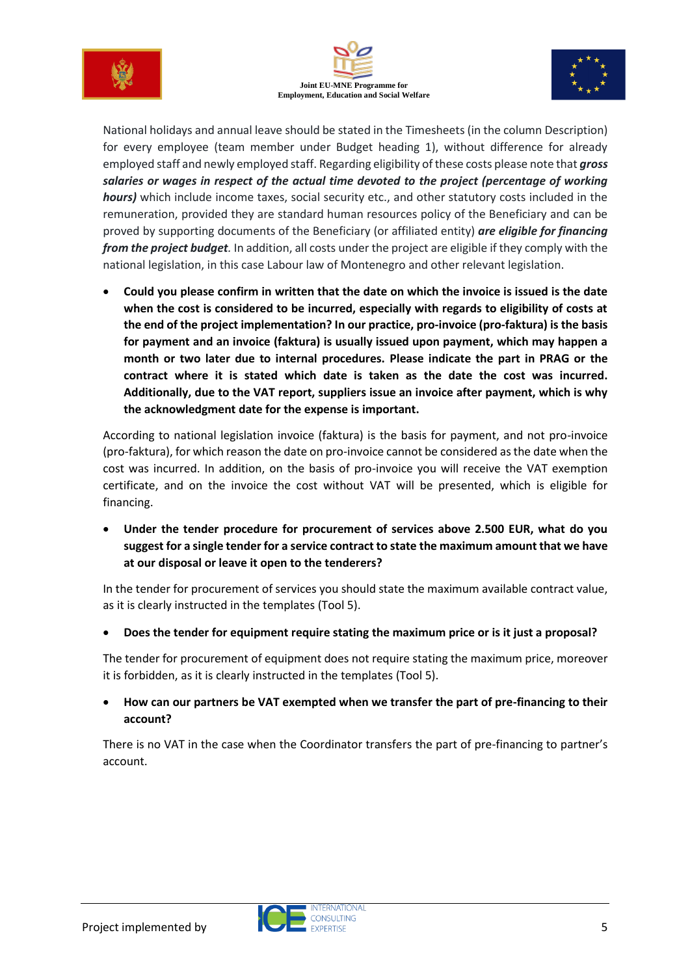![](_page_4_Picture_0.jpeg)

![](_page_4_Picture_1.jpeg)

![](_page_4_Picture_2.jpeg)

National holidays and annual leave should be stated in the Timesheets (in the column Description) for every employee (team member under Budget heading 1), without difference for already employed staff and newly employed staff. Regarding eligibility of these costs please note that *gross salaries or wages in respect of the actual time devoted to the project (percentage of working hours)* which include income taxes, social security etc., and other statutory costs included in the remuneration, provided they are standard human resources policy of the Beneficiary and can be proved by supporting documents of the Beneficiary (or affiliated entity) *are eligible for financing from the project budget.* In addition, all costs under the project are eligible if they comply with the national legislation, in this case Labour law of Montenegro and other relevant legislation.

• **Could you please confirm in written that the date on which the invoice is issued is the date when the cost is considered to be incurred, especially with regards to eligibility of costs at the end of the project implementation? In our practice, pro-invoice (pro-faktura) is the basis for payment and an invoice (faktura) is usually issued upon payment, which may happen a month or two later due to internal procedures. Please indicate the part in PRAG or the contract where it is stated which date is taken as the date the cost was incurred. Additionally, due to the VAT report, suppliers issue an invoice after payment, which is why the acknowledgment date for the expense is important.**

According to national legislation invoice (faktura) is the basis for payment, and not pro-invoice (pro-faktura), for which reason the date on pro-invoice cannot be considered as the date when the cost was incurred. In addition, on the basis of pro-invoice you will receive the VAT exemption certificate, and on the invoice the cost without VAT will be presented, which is eligible for financing.

• **Under the tender procedure for procurement of services above 2.500 EUR, what do you suggest for a single tender for a service contract to state the maximum amount that we have at our disposal or leave it open to the tenderers?**

In the tender for procurement of services you should state the maximum available contract value, as it is clearly instructed in the templates (Tool 5).

• **Does the tender for equipment require stating the maximum price or is it just a proposal?**

The tender for procurement of equipment does not require stating the maximum price, moreover it is forbidden, as it is clearly instructed in the templates (Tool 5).

• **How can our partners be VAT exempted when we transfer the part of pre-financing to their account?**

There is no VAT in the case when the Coordinator transfers the part of pre-financing to partner's account.

![](_page_4_Picture_13.jpeg)